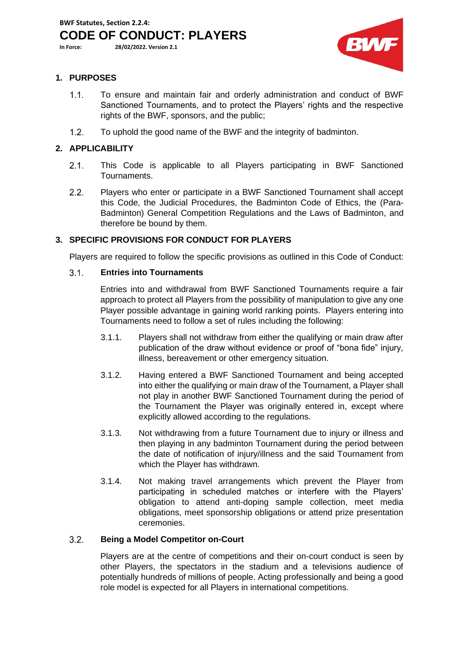**BWF Statutes, Section 2.2.4:** 

**CODE OF CONDUCT: PLAYERS**

**In Force: 28/02/2022. Version 2.1**



## **1. PURPOSES**

- $1.1.$ To ensure and maintain fair and orderly administration and conduct of BWF Sanctioned Tournaments, and to protect the Players' rights and the respective rights of the BWF, sponsors, and the public;
- $1.2.$ To uphold the good name of the BWF and the integrity of badminton.

# **2. APPLICABILITY**

- $2.1.$ This Code is applicable to all Players participating in BWF Sanctioned Tournaments.
- $2.2.$ Players who enter or participate in a BWF Sanctioned Tournament shall accept this Code, the Judicial Procedures, the Badminton Code of Ethics, the (Para-Badminton) General Competition Regulations and the Laws of Badminton, and therefore be bound by them.

# **3. SPECIFIC PROVISIONS FOR CONDUCT FOR PLAYERS**

Players are required to follow the specific provisions as outlined in this Code of Conduct:

### $3.1.$ **Entries into Tournaments**

Entries into and withdrawal from BWF Sanctioned Tournaments require a fair approach to protect all Players from the possibility of manipulation to give any one Player possible advantage in gaining world ranking points. Players entering into Tournaments need to follow a set of rules including the following:

- 3.1.1. Players shall not withdraw from either the qualifying or main draw after publication of the draw without evidence or proof of "bona fide" injury, illness, bereavement or other emergency situation.
- 3.1.2. Having entered a BWF Sanctioned Tournament and being accepted into either the qualifying or main draw of the Tournament, a Player shall not play in another BWF Sanctioned Tournament during the period of the Tournament the Player was originally entered in, except where explicitly allowed according to the regulations.
- 3.1.3. Not withdrawing from a future Tournament due to injury or illness and then playing in any badminton Tournament during the period between the date of notification of injury/illness and the said Tournament from which the Player has withdrawn.
- 3.1.4. Not making travel arrangements which prevent the Player from participating in scheduled matches or interfere with the Players' obligation to attend anti-doping sample collection, meet media obligations, meet sponsorship obligations or attend prize presentation ceremonies.

## $3.2.$ **Being a Model Competitor on-Court**

Players are at the centre of competitions and their on-court conduct is seen by other Players, the spectators in the stadium and a televisions audience of potentially hundreds of millions of people. Acting professionally and being a good role model is expected for all Players in international competitions.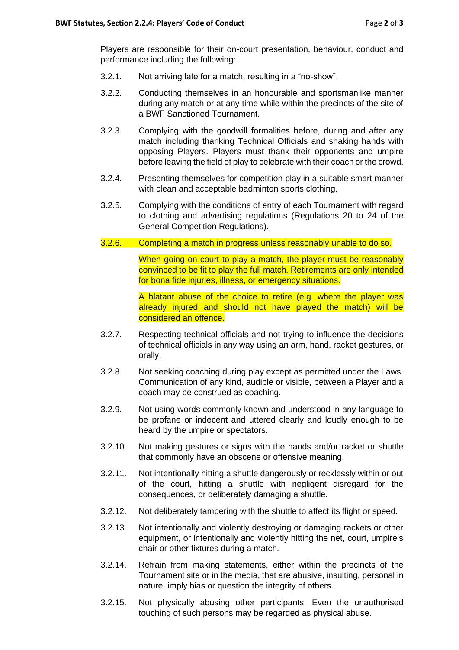Players are responsible for their on-court presentation, behaviour, conduct and performance including the following:

- 3.2.1. Not arriving late for a match, resulting in a "no-show".
- 3.2.2. Conducting themselves in an honourable and sportsmanlike manner during any match or at any time while within the precincts of the site of a BWF Sanctioned Tournament.
- 3.2.3. Complying with the goodwill formalities before, during and after any match including thanking Technical Officials and shaking hands with opposing Players. Players must thank their opponents and umpire before leaving the field of play to celebrate with their coach or the crowd.
- 3.2.4. Presenting themselves for competition play in a suitable smart manner with clean and acceptable badminton sports clothing.
- 3.2.5. Complying with the conditions of entry of each Tournament with regard to clothing and advertising regulations (Regulations 20 to 24 of the General Competition Regulations).
- 3.2.6. Completing a match in progress unless reasonably unable to do so.

When going on court to play a match, the player must be reasonably convinced to be fit to play the full match. Retirements are only intended for bona fide injuries, illness, or emergency situations.

A blatant abuse of the choice to retire (e.g. where the player was already injured and should not have played the match) will be considered an offence.

- 3.2.7. Respecting technical officials and not trying to influence the decisions of technical officials in any way using an arm, hand, racket gestures, or orally.
- 3.2.8. Not seeking coaching during play except as permitted under the Laws. Communication of any kind, audible or visible, between a Player and a coach may be construed as coaching.
- 3.2.9. Not using words commonly known and understood in any language to be profane or indecent and uttered clearly and loudly enough to be heard by the umpire or spectators.
- 3.2.10. Not making gestures or signs with the hands and/or racket or shuttle that commonly have an obscene or offensive meaning.
- 3.2.11. Not intentionally hitting a shuttle dangerously or recklessly within or out of the court, hitting a shuttle with negligent disregard for the consequences, or deliberately damaging a shuttle.
- 3.2.12. Not deliberately tampering with the shuttle to affect its flight or speed.
- 3.2.13. Not intentionally and violently destroying or damaging rackets or other equipment, or intentionally and violently hitting the net, court, umpire's chair or other fixtures during a match.
- 3.2.14. Refrain from making statements, either within the precincts of the Tournament site or in the media, that are abusive, insulting, personal in nature, imply bias or question the integrity of others.
- 3.2.15. Not physically abusing other participants. Even the unauthorised touching of such persons may be regarded as physical abuse.